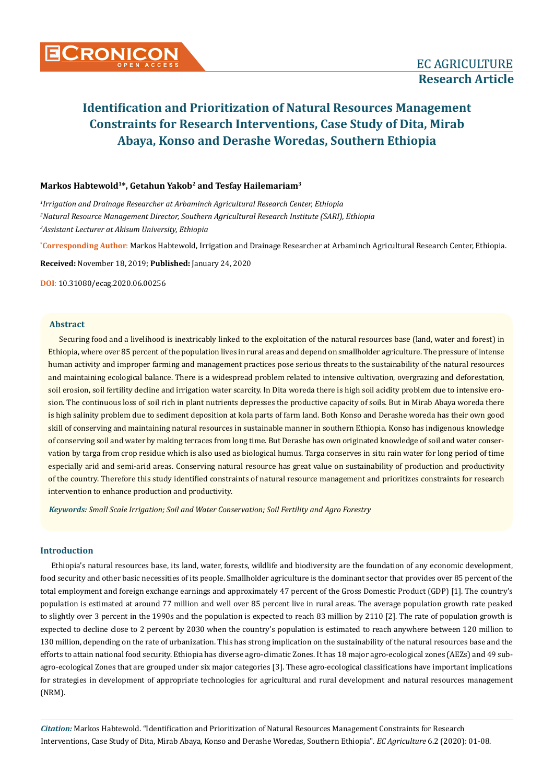# **Markos Habtewold<sup>1</sup>\*, Getahun Yakob<sup>2</sup> and Tesfay Hailemariam<sup>3</sup>**

*1 Irrigation and Drainage Researcher at Arbaminch Agricultural Research Center, Ethiopia 2 Natural Resource Management Director, Southern Agricultural Research Institute (SARI), Ethiopia 3 Assistant Lecturer at Akisum University, Ethiopia*

**\* Corresponding Author**: Markos Habtewold, Irrigation and Drainage Researcher at Arbaminch Agricultural Research Center, Ethiopia.

**Received:** November 18, 2019; **Published:** January 24, 2020

**DOI**: 10.31080/ecag.2020.06.00256

## **Abstract**

Securing food and a livelihood is inextricably linked to the exploitation of the natural resources base (land, water and forest) in Ethiopia, where over 85 percent of the population lives in rural areas and depend on smallholder agriculture. The pressure of intense human activity and improper farming and management practices pose serious threats to the sustainability of the natural resources and maintaining ecological balance. There is a widespread problem related to intensive cultivation, overgrazing and deforestation, soil erosion, soil fertility decline and irrigation water scarcity. In Dita woreda there is high soil acidity problem due to intensive erosion. The continuous loss of soil rich in plant nutrients depresses the productive capacity of soils. But in Mirab Abaya woreda there is high salinity problem due to sediment deposition at kola parts of farm land. Both Konso and Derashe woreda has their own good skill of conserving and maintaining natural resources in sustainable manner in southern Ethiopia. Konso has indigenous knowledge of conserving soil and water by making terraces from long time. But Derashe has own originated knowledge of soil and water conservation by targa from crop residue which is also used as biological humus. Targa conserves in situ rain water for long period of time especially arid and semi-arid areas. Conserving natural resource has great value on sustainability of production and productivity of the country. Therefore this study identified constraints of natural resource management and prioritizes constraints for research intervention to enhance production and productivity.

*Keywords: Small Scale Irrigation; Soil and Water Conservation; Soil Fertility and Agro Forestry*

## **Introduction**

Ethiopia's natural resources base, its land, water, forests, wildlife and biodiversity are the foundation of any economic development, food security and other basic necessities of its people. Smallholder agriculture is the dominant sector that provides over 85 percent of the total employment and foreign exchange earnings and approximately 47 percent of the Gross Domestic Product (GDP) [1]. The country's population is estimated at around 77 million and well over 85 percent live in rural areas. The average population growth rate peaked to slightly over 3 percent in the 1990s and the population is expected to reach 83 million by 2110 [2]. The rate of population growth is expected to decline close to 2 percent by 2030 when the country's population is estimated to reach anywhere between 120 million to 130 million, depending on the rate of urbanization. This has strong implication on the sustainability of the natural resources base and the efforts to attain national food security. Ethiopia has diverse agro-climatic Zones. It has 18 major agro-ecological zones (AEZs) and 49 subagro-ecological Zones that are grouped under six major categories [3]. These agro-ecological classifications have important implications for strategies in development of appropriate technologies for agricultural and rural development and natural resources management (NRM).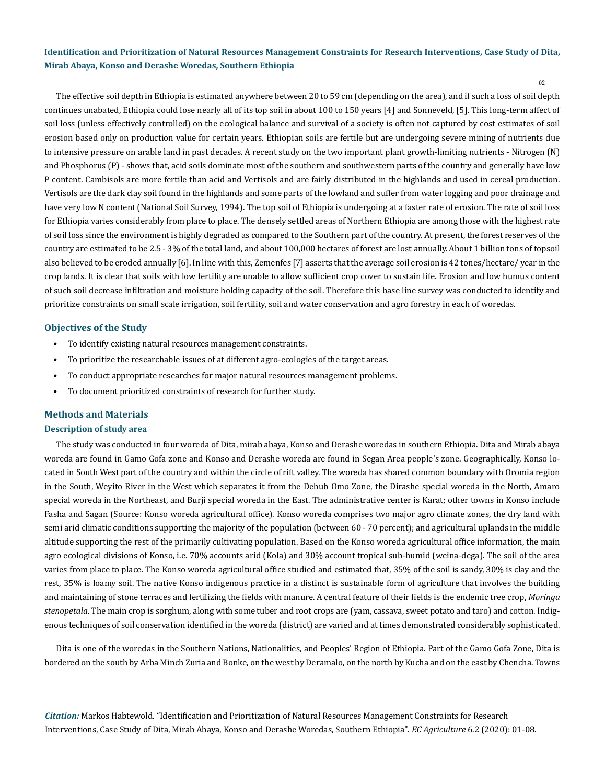02

The effective soil depth in Ethiopia is estimated anywhere between 20 to 59 cm (depending on the area), and if such a loss of soil depth continues unabated, Ethiopia could lose nearly all of its top soil in about 100 to 150 years [4] and Sonneveld, [5]. This long-term affect of soil loss (unless effectively controlled) on the ecological balance and survival of a society is often not captured by cost estimates of soil erosion based only on production value for certain years. Ethiopian soils are fertile but are undergoing severe mining of nutrients due to intensive pressure on arable land in past decades. A recent study on the two important plant growth-limiting nutrients - Nitrogen (N) and Phosphorus (P) - shows that, acid soils dominate most of the southern and southwestern parts of the country and generally have low P content. Cambisols are more fertile than acid and Vertisols and are fairly distributed in the highlands and used in cereal production. Vertisols are the dark clay soil found in the highlands and some parts of the lowland and suffer from water logging and poor drainage and have very low N content (National Soil Survey, 1994). The top soil of Ethiopia is undergoing at a faster rate of erosion. The rate of soil loss for Ethiopia varies considerably from place to place. The densely settled areas of Northern Ethiopia are among those with the highest rate of soil loss since the environment is highly degraded as compared to the Southern part of the country. At present, the forest reserves of the country are estimated to be 2.5 - 3% of the total land, and about 100,000 hectares of forest are lost annually. About 1 billion tons of topsoil also believed to be eroded annually [6]. In line with this, Zemenfes [7] asserts that the average soil erosion is 42 tones/hectare/ year in the crop lands. It is clear that soils with low fertility are unable to allow sufficient crop cover to sustain life. Erosion and low humus content of such soil decrease infiltration and moisture holding capacity of the soil. Therefore this base line survey was conducted to identify and prioritize constraints on small scale irrigation, soil fertility, soil and water conservation and agro forestry in each of woredas.

## **Objectives of the Study**

- To identify existing natural resources management constraints.
- To prioritize the researchable issues of at different agro-ecologies of the target areas.
- To conduct appropriate researches for major natural resources management problems.
- To document prioritized constraints of research for further study.

## **Methods and Materials**

#### **Description of study area**

The study was conducted in four woreda of Dita, mirab abaya, Konso and Derashe woredas in southern Ethiopia. Dita and Mirab abaya woreda are found in Gamo Gofa zone and Konso and Derashe woreda are found in Segan Area people's zone. Geographically, Konso located in South West part of the country and within the circle of rift valley. The woreda has shared common boundary with Oromia region in the South, Weyito River in the West which separates it from the Debub Omo Zone, the Dirashe special woreda in the North, Amaro special woreda in the Northeast, and Burji special woreda in the East. The administrative center is Karat; other towns in Konso include Fasha and Sagan (Source: Konso woreda agricultural office). Konso woreda comprises two major agro climate zones, the dry land with semi arid climatic conditions supporting the majority of the population (between 60 - 70 percent); and agricultural uplands in the middle altitude supporting the rest of the primarily cultivating population. Based on the Konso woreda agricultural office information, the main agro ecological divisions of Konso, i.e. 70% accounts arid (Kola) and 30% account tropical sub-humid (weina-dega). The soil of the area varies from place to place. The Konso woreda agricultural office studied and estimated that, 35% of the soil is sandy, 30% is clay and the rest, 35% is loamy soil. The native Konso indigenous practice in a distinct is sustainable form of agriculture that involves the building and maintaining of stone terraces and fertilizing the fields with manure. A central feature of their fields is the endemic tree crop, *Moringa stenopetala*. The main crop is sorghum, along with some tuber and root crops are (yam, cassava, sweet potato and taro) and cotton. Indigenous techniques of soil conservation identified in the woreda (district) are varied and at times demonstrated considerably sophisticated.

Dita is one of the [woredas](https://en.wikipedia.org/wiki/Districts_of_Ethiopia) in the [Southern Nations, Nationalities, and Peoples](https://en.wikipedia.org/wiki/Southern_Nations,_Nationalities,_and_Peoples%27_Region)' Region of [Ethiopia.](https://en.wikipedia.org/wiki/Ethiopia) Part of the [Gamo Gofa Zone,](https://en.wikipedia.org/wiki/Gamo_Gofa_Zone) Dita is bordered on the south by [Arba Minch Zuria](https://en.wikipedia.org/wiki/Arba_Minch_Zuria) and [Bonke,](https://en.wikipedia.org/wiki/Bonke) on the west by [Deramalo,](https://en.wikipedia.org/wiki/Deramalo) on the north by [Kucha](https://en.wikipedia.org/wiki/Kucha_(woreda)) and on the east by [Chencha](https://en.wikipedia.org/wiki/Chencha_(woreda)). Towns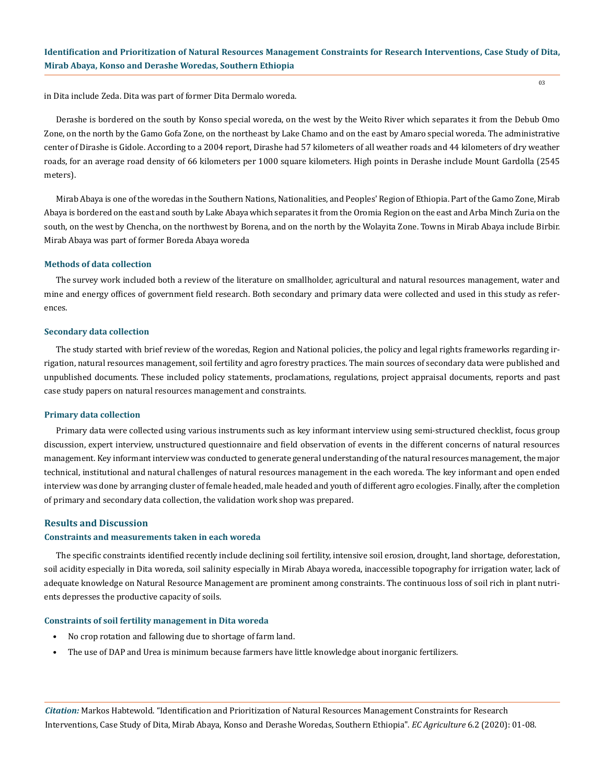in Dita include [Zeda](https://en.wikipedia.org/w/index.php?title=Zeda&action=edit&redlink=1). Dita was part of former [Dita Dermalo](https://en.wikipedia.org/wiki/Dita_Dermalo) woreda.

Derashe is bordered on the south by Konso special woreda, on the west by the Weito River which separates it from the Debub Omo Zone, on the north by the Gamo Gofa Zone, on the northeast by Lake Chamo and on the east by Amaro special woreda. The administrative center of Dirashe is Gidole. According to a 2004 report, Dirashe had 57 kilometers of all weather roads and 44 kilometers of dry weather roads, for an average road density of 66 kilometers per 1000 square kilometers. High points in Derashe include Mount Gardolla (2545 meters).

Mirab Abaya is one of the woredas in the Southern Nations, Nationalities, and Peoples' Region of Ethiopia. Part of the Gamo Zone, Mirab Abaya is bordered on the east and south by Lake Abaya which separates it from the Oromia Region on the east and Arba Minch Zuria on the south, on the west by Chencha, on the northwest by Borena, and on the north by the Wolayita Zone. Towns in Mirab Abaya include Birbir. Mirab Abaya was part of former Boreda Abaya woreda

#### **Methods of data collection**

The survey work included both a review of the literature on smallholder, agricultural and natural resources management, water and mine and energy offices of government field research. Both secondary and primary data were collected and used in this study as references.

#### **Secondary data collection**

The study started with brief review of the woredas, Region and National policies, the policy and legal rights frameworks regarding irrigation, natural resources management, soil fertility and agro forestry practices. The main sources of secondary data were published and unpublished documents. These included policy statements, proclamations, regulations, project appraisal documents, reports and past case study papers on natural resources management and constraints.

#### **Primary data collection**

Primary data were collected using various instruments such as key informant interview using semi-structured checklist, focus group discussion, expert interview, unstructured questionnaire and field observation of events in the different concerns of natural resources management. Key informant interview was conducted to generate general understanding of the natural resources management, the major technical, institutional and natural challenges of natural resources management in the each woreda. The key informant and open ended interview was done by arranging cluster of female headed, male headed and youth of different agro ecologies. Finally, after the completion of primary and secondary data collection, the validation work shop was prepared.

# **Results and Discussion**

#### **Constraints and measurements taken in each woreda**

The specific constraints identified recently include declining soil fertility, intensive soil erosion, drought, land shortage, deforestation, soil acidity especially in Dita woreda, soil salinity especially in Mirab Abaya woreda, inaccessible topography for irrigation water, lack of adequate knowledge on Natural Resource Management are prominent among constraints. The continuous loss of soil rich in plant nutrients depresses the productive capacity of soils.

#### **Constraints of soil fertility management in Dita woreda**

- No crop rotation and fallowing due to shortage of farm land.
- The use of DAP and Urea is minimum because farmers have little knowledge about inorganic fertilizers.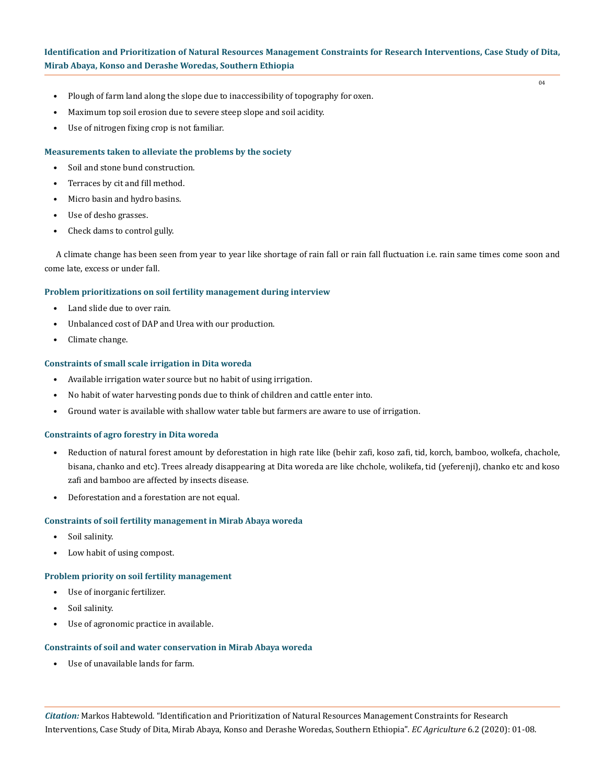$04$ 

- Plough of farm land along the slope due to inaccessibility of topography for oxen.
- Maximum top soil erosion due to severe steep slope and soil acidity.
- Use of nitrogen fixing crop is not familiar.

# **Measurements taken to alleviate the problems by the society**

- Soil and stone bund construction.
- Terraces by cit and fill method.
- Micro basin and hydro basins.
- Use of desho grasses.
- Check dams to control gully.

A climate change has been seen from year to year like shortage of rain fall or rain fall fluctuation i.e. rain same times come soon and come late, excess or under fall.

#### **Problem prioritizations on soil fertility management during interview**

- Land slide due to over rain.
- Unbalanced cost of DAP and Urea with our production.
- Climate change.

#### **Constraints of small scale irrigation in Dita woreda**

- Available irrigation water source but no habit of using irrigation.
- No habit of water harvesting ponds due to think of children and cattle enter into.
- Ground water is available with shallow water table but farmers are aware to use of irrigation.

#### **Constraints of agro forestry in Dita woreda**

- Reduction of natural forest amount by deforestation in high rate like (behir zafi, koso zafi, tid, korch, bamboo, wolkefa, chachole, bisana, chanko and etc). Trees already disappearing at Dita woreda are like chchole, wolikefa, tid (yeferenji), chanko etc and koso zafi and bamboo are affected by insects disease.
- Deforestation and a forestation are not equal.

## **Constraints of soil fertility management in Mirab Abaya woreda**

- Soil salinity.
- Low habit of using compost.

#### **Problem priority on soil fertility management**

- Use of inorganic fertilizer.
- Soil salinity.
- Use of agronomic practice in available.

#### **Constraints of soil and water conservation in Mirab Abaya woreda**

Use of unavailable lands for farm.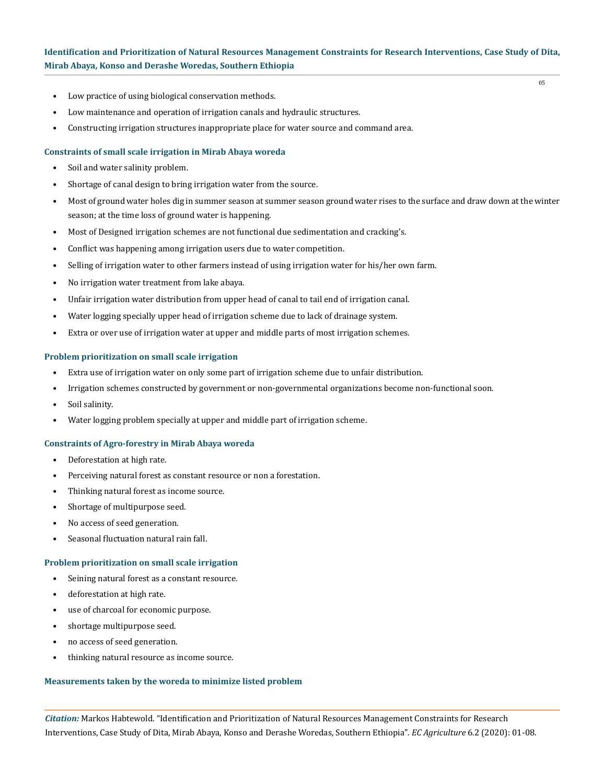05

- Low practice of using biological conservation methods.
- Low maintenance and operation of irrigation canals and hydraulic structures.
- Constructing irrigation structures inappropriate place for water source and command area.

#### **Constraints of small scale irrigation in Mirab Abaya woreda**

- Soil and water salinity problem.
- Shortage of canal design to bring irrigation water from the source.
- Most of ground water holes dig in summer season at summer season ground water rises to the surface and draw down at the winter season; at the time loss of ground water is happening.
- Most of Designed irrigation schemes are not functional due sedimentation and cracking's.
- Conflict was happening among irrigation users due to water competition.
- Selling of irrigation water to other farmers instead of using irrigation water for his/her own farm.
- No irrigation water treatment from lake abaya.
- Unfair irrigation water distribution from upper head of canal to tail end of irrigation canal.
- Water logging specially upper head of irrigation scheme due to lack of drainage system.
- Extra or over use of irrigation water at upper and middle parts of most irrigation schemes.

#### **Problem prioritization on small scale irrigation**

- Extra use of irrigation water on only some part of irrigation scheme due to unfair distribution.
- Irrigation schemes constructed by government or non-governmental organizations become non-functional soon.
- Soil salinity.
- Water logging problem specially at upper and middle part of irrigation scheme.

#### **Constraints of Agro-forestry in Mirab Abaya woreda**

- Deforestation at high rate.
- Perceiving natural forest as constant resource or non a forestation.
- Thinking natural forest as income source.
- Shortage of multipurpose seed.
- No access of seed generation.
- Seasonal fluctuation natural rain fall.

#### **Problem prioritization on small scale irrigation**

- Seining natural forest as a constant resource.
- deforestation at high rate.
- use of charcoal for economic purpose.
- shortage multipurpose seed.
- no access of seed generation.
- thinking natural resource as income source.

#### **Measurements taken by the woreda to minimize listed problem**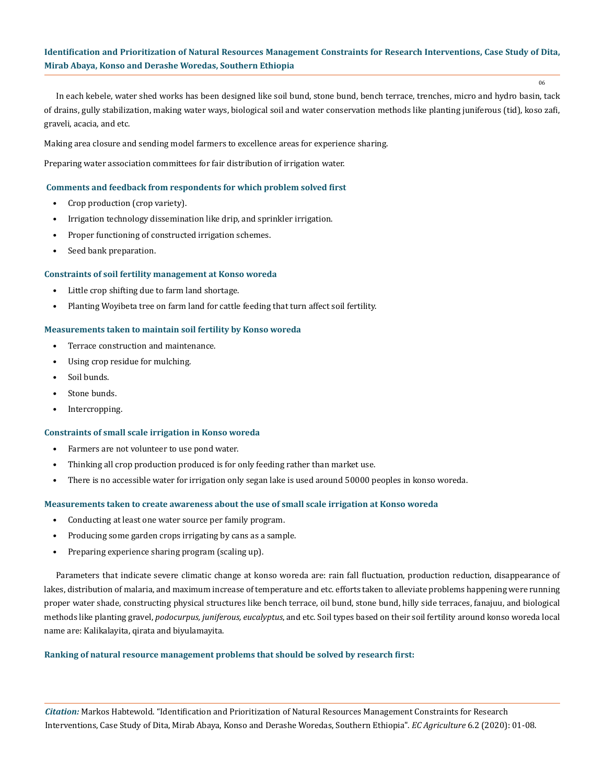06

In each kebele, water shed works has been designed like soil bund, stone bund, bench terrace, trenches, micro and hydro basin, tack of drains, gully stabilization, making water ways, biological soil and water conservation methods like planting juniferous (tid), koso zafi, graveli, acacia, and etc.

Making area closure and sending model farmers to excellence areas for experience sharing.

Preparing water association committees for fair distribution of irrigation water.

## **Comments and feedback from respondents for which problem solved first**

- Crop production (crop variety).
- Irrigation technology dissemination like drip, and sprinkler irrigation.
- Proper functioning of constructed irrigation schemes.
- Seed bank preparation.

#### **Constraints of soil fertility management at Konso woreda**

- Little crop shifting due to farm land shortage.
- Planting Woyibeta tree on farm land for cattle feeding that turn affect soil fertility.

#### **Measurements taken to maintain soil fertility by Konso woreda**

- Terrace construction and maintenance.
- Using crop residue for mulching.
- Soil bunds.
- Stone bunds.
- Intercropping.

#### **Constraints of small scale irrigation in Konso woreda**

- Farmers are not volunteer to use pond water.
- Thinking all crop production produced is for only feeding rather than market use.
- There is no accessible water for irrigation only segan lake is used around 50000 peoples in konso woreda.

#### **Measurements taken to create awareness about the use of small scale irrigation at Konso woreda**

- Conducting at least one water source per family program.
- Producing some garden crops irrigating by cans as a sample.
- Preparing experience sharing program (scaling up).

Parameters that indicate severe climatic change at konso woreda are: rain fall fluctuation, production reduction, disappearance of lakes, distribution of malaria, and maximum increase of temperature and etc. efforts taken to alleviate problems happening were running proper water shade, constructing physical structures like bench terrace, oil bund, stone bund, hilly side terraces, fanajuu, and biological methods like planting gravel, *podocurpus, juniferous, eucalyptus*, and etc. Soil types based on their soil fertility around konso woreda local name are: Kalikalayita, qirata and biyulamayita.

#### **Ranking of natural resource management problems that should be solved by research first:**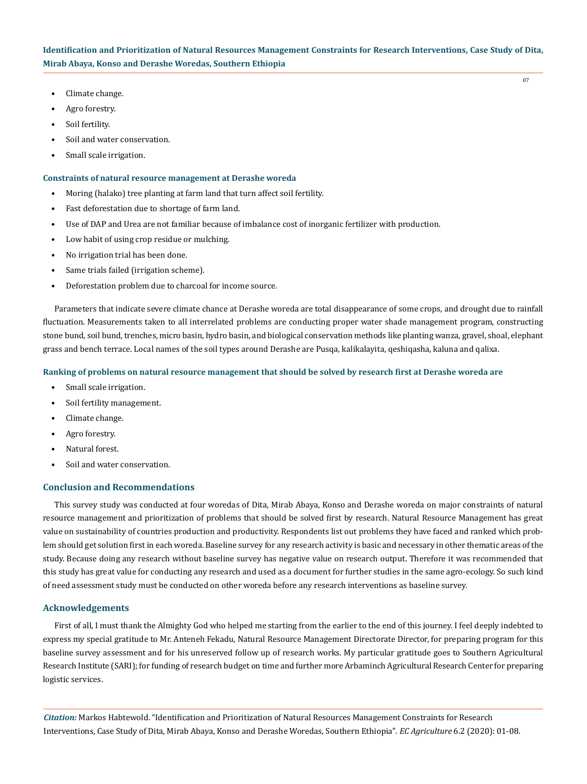- Climate change.
- Agro forestry.
- Soil fertility.
- Soil and water conservation.
- Small scale irrigation.

#### **Constraints of natural resource management at Derashe woreda**

- Moring (halako) tree planting at farm land that turn affect soil fertility.
- Fast deforestation due to shortage of farm land.
- Use of DAP and Urea are not familiar because of imbalance cost of inorganic fertilizer with production.
- Low habit of using crop residue or mulching.
- No irrigation trial has been done.
- Same trials failed (irrigation scheme).
- Deforestation problem due to charcoal for income source.

Parameters that indicate severe climate chance at Derashe woreda are total disappearance of some crops, and drought due to rainfall fluctuation. Measurements taken to all interrelated problems are conducting proper water shade management program, constructing stone bund, soil bund, trenches, micro basin, hydro basin, and biological conservation methods like planting wanza, gravel, shoal, elephant grass and bench terrace. Local names of the soil types around Derashe are Pusqa, kalikalayita, qeshiqasha, kaluna and qalixa.

#### **Ranking of problems on natural resource management that should be solved by research first at Derashe woreda are**

- Small scale irrigation.
- Soil fertility management.
- Climate change.
- Agro forestry.
- Natural forest.
- Soil and water conservation.

# **Conclusion and Recommendations**

This survey study was conducted at four woredas of Dita, Mirab Abaya, Konso and Derashe woreda on major constraints of natural resource management and prioritization of problems that should be solved first by research. Natural Resource Management has great value on sustainability of countries production and productivity. Respondents list out problems they have faced and ranked which problem should get solution first in each woreda. Baseline survey for any research activity is basic and necessary in other thematic areas of the study. Because doing any research without baseline survey has negative value on research output. Therefore it was recommended that this study has great value for conducting any research and used as a document for further studies in the same agro-ecology. So such kind of need assessment study must be conducted on other woreda before any research interventions as baseline survey.

#### **Acknowledgements**

First of all, I must thank the Almighty God who helped me starting from the earlier to the end of this journey. I feel deeply indebted to express my special gratitude to Mr. Anteneh Fekadu, Natural Resource Management Directorate Director, for preparing program for this baseline survey assessment and for his unreserved follow up of research works. My particular gratitude goes to Southern Agricultural Research Institute (SARI); for funding of research budget on time and further more Arbaminch Agricultural Research Center for preparing logistic services.

*Citation:* Markos Habtewold. "Identification and Prioritization of Natural Resources Management Constraints for Research Interventions, Case Study of Dita, Mirab Abaya, Konso and Derashe Woredas, Southern Ethiopia". *EC Agriculture* 6.2 (2020): 01-08.

07